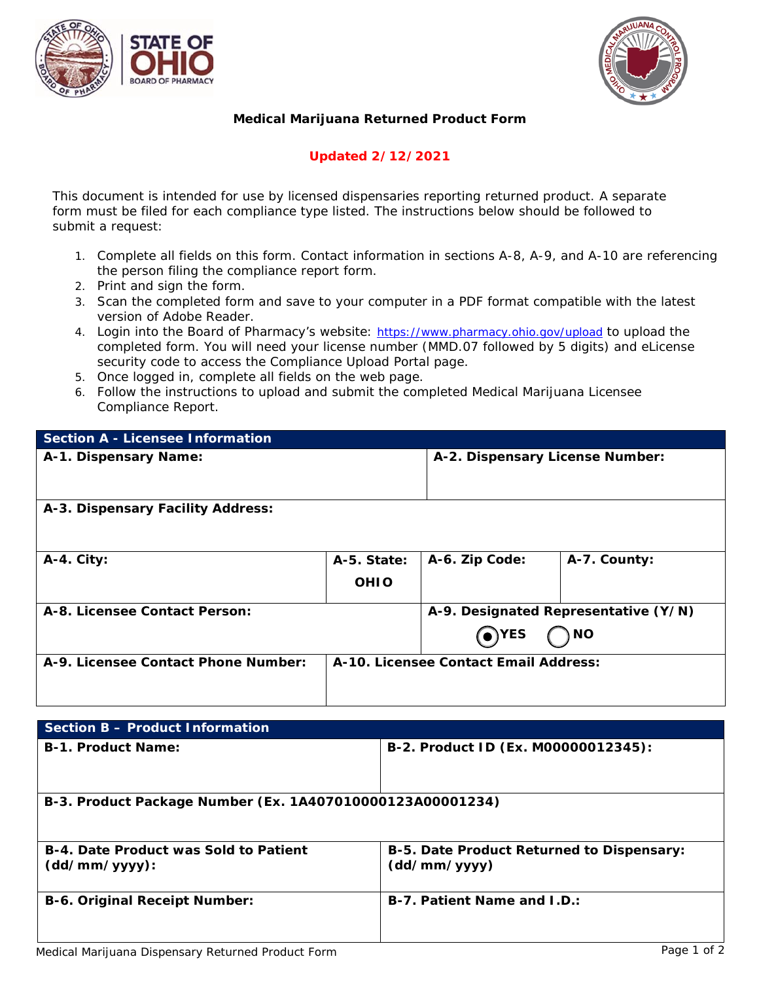



## **Medical Marijuana Returned Product Form**

## **Updated 2/12/2021**

*This document is intended for use by licensed dispensaries reporting returned product. A separate form must be filed for each compliance type listed. The instructions below should be followed to submit a request:*

- 1. Complete all fields on this form. Contact information in sections A-8, A-9, and A-10 are referencing the person filing the compliance report form.
- 2. Print and sign the form.
- 3. Scan the completed form and save to your computer in a PDF format compatible with the latest version of Adobe Reader.
- 4. Login into the Board of Pharmacy's website: <https://www.pharmacy.ohio.gov/upload> to upload the completed form. You will need your license number (MMD.07 followed by 5 digits) and eLicense security code to access the Compliance Upload Portal page.
- 5. Once logged in, complete all fields on the web page.
- 6. Follow the instructions to upload and submit the completed Medical Marijuana Licensee Compliance Report.

| <b>Section A - Licensee Information</b> |                                       |                                      |              |
|-----------------------------------------|---------------------------------------|--------------------------------------|--------------|
| A-1. Dispensary Name:                   |                                       | A-2. Dispensary License Number:      |              |
| A-3. Dispensary Facility Address:       |                                       |                                      |              |
| A-4. City:                              | A-5. State:                           | A-6. Zip Code:                       | A-7. County: |
|                                         | <b>OHIO</b>                           |                                      |              |
| A-8. Licensee Contact Person:           |                                       | A-9. Designated Representative (Y/N) |              |
|                                         |                                       | $\odot$ YES                          | ) NO         |
| A-9. Licensee Contact Phone Number:     | A-10. Licensee Contact Email Address: |                                      |              |
|                                         |                                       |                                      |              |

| Section B - Product Information                               |                                                           |  |
|---------------------------------------------------------------|-----------------------------------------------------------|--|
| <b>B-1. Product Name:</b>                                     | B-2. Product ID (Ex. M00000012345):                       |  |
| B-3. Product Package Number (Ex. 1A407010000123A00001234)     |                                                           |  |
| <b>B-4. Date Product was Sold to Patient</b><br>(dd/mm/yyyy): | B-5. Date Product Returned to Dispensary:<br>(dd/mm/yyyy) |  |
| <b>B-6. Original Receipt Number:</b>                          | B-7. Patient Name and I.D.:                               |  |
|                                                               | .                                                         |  |